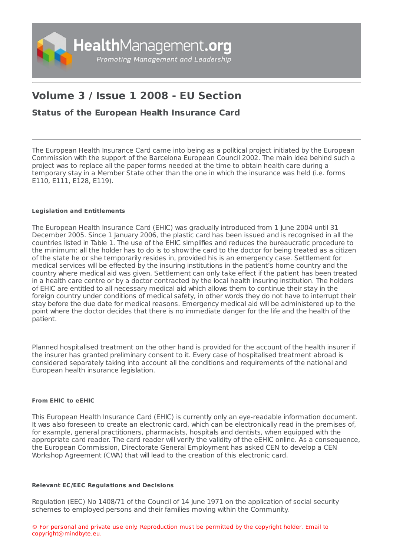

# **Volume 3 / Issue 1 2008 - EU Section**

# **Status of the European Health [Insurance](https://healthmanagement.org/s/status-of-the-european-health-insurance-card) Card**

The European Health Insurance Card came into being as a political project initiated by the European Commission with the support of the Barcelona European Council 2002. The main idea behind such a project was to replace all the paper forms needed at the time to obtain health care during a temporary stay in a Member State other than the one in which the insurance was held (i.e. forms E110, E111, E128, E119).

## **Legislation and Entitlements**

The European Health Insurance Card (EHIC) was gradually introduced from 1 June 2004 until 31 December 2005. Since 1 January 2006, the plastic card has been issued and is recognised in all the countries listed in Table 1. The use of the EHIC simplifies and reduces the bureaucratic procedure to the minimum: all the holder has to do is to show the card to the doctor for being treated as a citizen of the state he or she temporarily resides in, provided his is an emergency case. Settlement for medical services will be effected by the insuring institutions in the patient's home country and the country where medical aid was given. Settlement can only take effect if the patient has been treated in a health care centre or by a doctor contracted by the local health insuring institution. The holders of EHIC are entitled to all necessary medical aid which allows them to continue their stay in the foreign country under conditions of medical safety, in other words they do not have to interrupt their stay before the due date for medical reasons. Emergency medical aid will be administered up to the point where the doctor decides that there is no immediate danger for the life and the health of the patient.

Planned hospitalised treatment on the other hand is provided for the account of the health insurer if the insurer has granted preliminary consent to it. Every case of hospitalised treatment abroad is considered separately taking into account all the conditions and requirements of the national and European health insurance legislation.

### **From EHIC to eEHIC**

This European Health Insurance Card (EHIC) is currently only an eye-readable information document. It was also foreseen to create an electronic card, which can be electronically read in the premises of, for example, general practitioners, pharmacists, hospitals and dentists, when equipped with the appropriate card reader. The card reader will verify the validity of the eEHIC online. As a consequence, the European Commission, Directorate General Employment has asked CEN to develop a CEN Workshop Agreement (CWA) that will lead to the creation of this electronic card.

### **Relevant EC/EEC Regulations and Decisions**

Regulation (EEC) No 1408/71 of the Council of 14 June 1971 on the application of social security schemes to employed persons and their families moving within the Community.

© For personal and private use only. Reproduction must be permitted by the copyright holder. Email to copyright@mindbyte.eu.